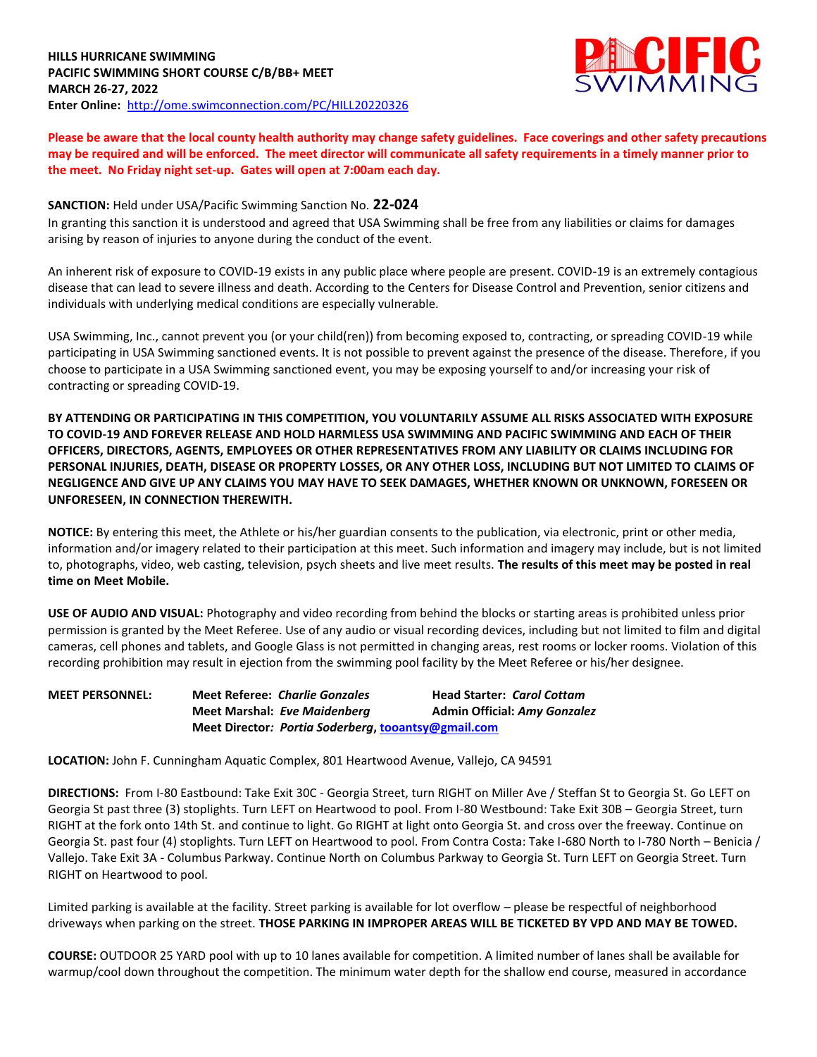

**Please be aware that the local county health authority may change safety guidelines. Face coverings and other safety precautions may be required and will be enforced. The meet director will communicate all safety requirements in a timely manner prior to the meet. No Friday night set-up. Gates will open at 7:00am each day.** 

## **SANCTION:** Held under USA/Pacific Swimming Sanction No. **22-024**

In granting this sanction it is understood and agreed that USA Swimming shall be free from any liabilities or claims for damages arising by reason of injuries to anyone during the conduct of the event.

An inherent risk of exposure to COVID-19 exists in any public place where people are present. COVID-19 is an extremely contagious disease that can lead to severe illness and death. According to the Centers for Disease Control and Prevention, senior citizens and individuals with underlying medical conditions are especially vulnerable.

USA Swimming, Inc., cannot prevent you (or your child(ren)) from becoming exposed to, contracting, or spreading COVID-19 while participating in USA Swimming sanctioned events. It is not possible to prevent against the presence of the disease. Therefore, if you choose to participate in a USA Swimming sanctioned event, you may be exposing yourself to and/or increasing your risk of contracting or spreading COVID-19.

**BY ATTENDING OR PARTICIPATING IN THIS COMPETITION, YOU VOLUNTARILY ASSUME ALL RISKS ASSOCIATED WITH EXPOSURE TO COVID-19 AND FOREVER RELEASE AND HOLD HARMLESS USA SWIMMING AND PACIFIC SWIMMING AND EACH OF THEIR OFFICERS, DIRECTORS, AGENTS, EMPLOYEES OR OTHER REPRESENTATIVES FROM ANY LIABILITY OR CLAIMS INCLUDING FOR PERSONAL INJURIES, DEATH, DISEASE OR PROPERTY LOSSES, OR ANY OTHER LOSS, INCLUDING BUT NOT LIMITED TO CLAIMS OF NEGLIGENCE AND GIVE UP ANY CLAIMS YOU MAY HAVE TO SEEK DAMAGES, WHETHER KNOWN OR UNKNOWN, FORESEEN OR UNFORESEEN, IN CONNECTION THEREWITH.**

**NOTICE:** By entering this meet, the Athlete or his/her guardian consents to the publication, via electronic, print or other media, information and/or imagery related to their participation at this meet. Such information and imagery may include, but is not limited to, photographs, video, web casting, television, psych sheets and live meet results. **The results of this meet may be posted in real time on Meet Mobile.** 

**USE OF AUDIO AND VISUAL:** Photography and video recording from behind the blocks or starting areas is prohibited unless prior permission is granted by the Meet Referee. Use of any audio or visual recording devices, including but not limited to film and digital cameras, cell phones and tablets, and Google Glass is not permitted in changing areas, rest rooms or locker rooms. Violation of this recording prohibition may result in ejection from the swimming pool facility by the Meet Referee or his/her designee.

**MEET PERSONNEL: Meet Referee:** *Charlie Gonzales* **Head Starter:** *Carol Cottam* **Meet Marshal:** *Eve Maidenberg* **Admin Official:** *Amy Gonzalez* **Meet Director***: Portia Soderberg***, [tooantsy@gmail.com](mailto:tooantsy@gmail.com)**

**LOCATION:** John F. Cunningham Aquatic Complex, 801 Heartwood Avenue, Vallejo, CA 94591

**DIRECTIONS:** From I-80 Eastbound: Take Exit 30C - Georgia Street, turn RIGHT on Miller Ave / Steffan St to Georgia St. Go LEFT on Georgia St past three (3) stoplights. Turn LEFT on Heartwood to pool. From I-80 Westbound: Take Exit 30B – Georgia Street, turn RIGHT at the fork onto 14th St. and continue to light. Go RIGHT at light onto Georgia St. and cross over the freeway. Continue on Georgia St. past four (4) stoplights. Turn LEFT on Heartwood to pool. From Contra Costa: Take I-680 North to I-780 North – Benicia / Vallejo. Take Exit 3A - Columbus Parkway. Continue North on Columbus Parkway to Georgia St. Turn LEFT on Georgia Street. Turn RIGHT on Heartwood to pool.

Limited parking is available at the facility. Street parking is available for lot overflow – please be respectful of neighborhood driveways when parking on the street. **THOSE PARKING IN IMPROPER AREAS WILL BE TICKETED BY VPD AND MAY BE TOWED.**

**COURSE:** OUTDOOR 25 YARD pool with up to 10 lanes available for competition. A limited number of lanes shall be available for warmup/cool down throughout the competition. The minimum water depth for the shallow end course, measured in accordance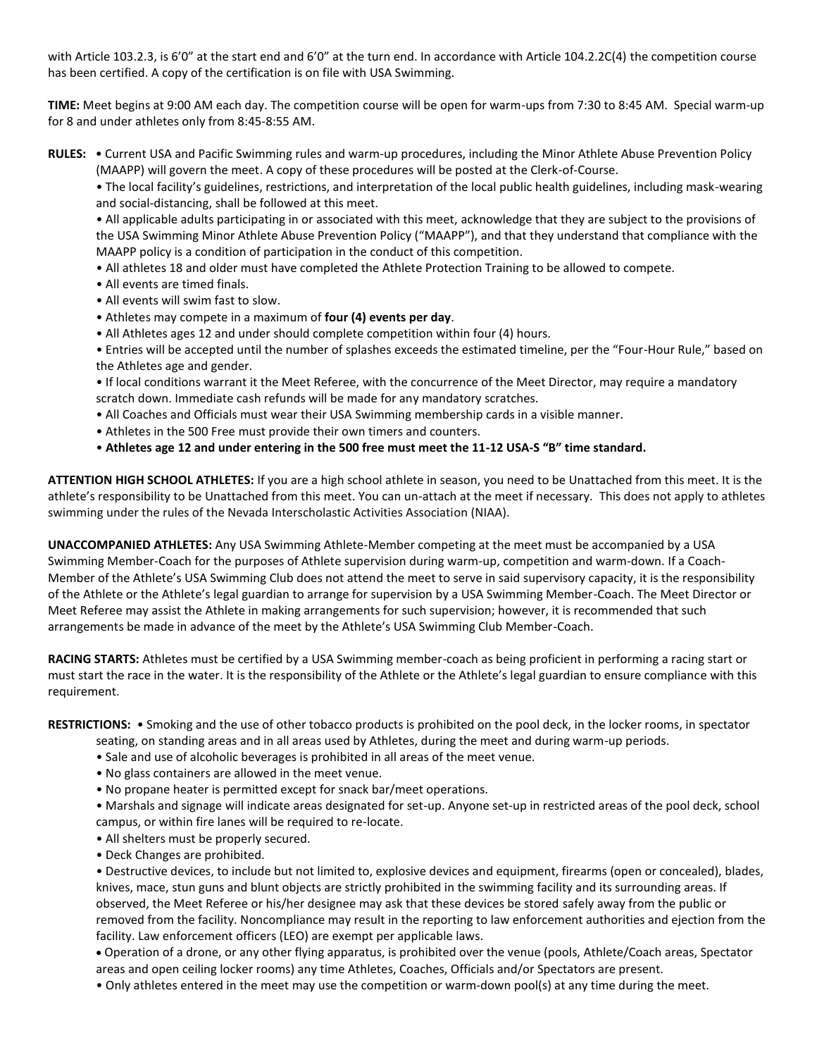with Article 103.2.3, is 6'0" at the start end and 6'0" at the turn end. In accordance with Article 104.2.2C(4) the competition course has been certified. A copy of the certification is on file with USA Swimming.

**TIME:** Meet begins at 9:00 AM each day. The competition course will be open for warm-ups from 7:30 to 8:45 AM. Special warm-up for 8 and under athletes only from 8:45-8:55 AM.

**RULES:** • Current USA and Pacific Swimming rules and warm-up procedures, including the Minor Athlete Abuse Prevention Policy (MAAPP) will govern the meet. A copy of these procedures will be posted at the Clerk-of-Course.

• The local facility's guidelines, restrictions, and interpretation of the local public health guidelines, including mask-wearing and social-distancing, shall be followed at this meet.

• All applicable adults participating in or associated with this meet, acknowledge that they are subject to the provisions of the USA Swimming Minor Athlete Abuse Prevention Policy ("MAAPP"), and that they understand that compliance with the MAAPP policy is a condition of participation in the conduct of this competition.

- All athletes 18 and older must have completed the Athlete Protection Training to be allowed to compete.
- All events are timed finals.
- All events will swim fast to slow.
- Athletes may compete in a maximum of **four (4) events per day**.
- All Athletes ages 12 and under should complete competition within four (4) hours.

• Entries will be accepted until the number of splashes exceeds the estimated timeline, per the "Four-Hour Rule," based on the Athletes age and gender.

- If local conditions warrant it the Meet Referee, with the concurrence of the Meet Director, may require a mandatory scratch down. Immediate cash refunds will be made for any mandatory scratches.
- All Coaches and Officials must wear their USA Swimming membership cards in a visible manner.
- Athletes in the 500 Free must provide their own timers and counters.
- **Athletes age 12 and under entering in the 500 free must meet the 11-12 USA-S "B" time standard.**

**ATTENTION HIGH SCHOOL ATHLETES:** If you are a high school athlete in season, you need to be Unattached from this meet. It is the athlete's responsibility to be Unattached from this meet. You can un-attach at the meet if necessary. This does not apply to athletes swimming under the rules of the Nevada Interscholastic Activities Association (NIAA).

**UNACCOMPANIED ATHLETES:** Any USA Swimming Athlete-Member competing at the meet must be accompanied by a USA Swimming Member-Coach for the purposes of Athlete supervision during warm-up, competition and warm-down. If a Coach-Member of the Athlete's USA Swimming Club does not attend the meet to serve in said supervisory capacity, it is the responsibility of the Athlete or the Athlete's legal guardian to arrange for supervision by a USA Swimming Member-Coach. The Meet Director or Meet Referee may assist the Athlete in making arrangements for such supervision; however, it is recommended that such arrangements be made in advance of the meet by the Athlete's USA Swimming Club Member-Coach.

**RACING STARTS:** Athletes must be certified by a USA Swimming member-coach as being proficient in performing a racing start or must start the race in the water. It is the responsibility of the Athlete or the Athlete's legal guardian to ensure compliance with this requirement.

**RESTRICTIONS:** • Smoking and the use of other tobacco products is prohibited on the pool deck, in the locker rooms, in spectator

- seating, on standing areas and in all areas used by Athletes, during the meet and during warm-up periods.
- Sale and use of alcoholic beverages is prohibited in all areas of the meet venue.
- No glass containers are allowed in the meet venue.
- No propane heater is permitted except for snack bar/meet operations.
- Marshals and signage will indicate areas designated for set-up. Anyone set-up in restricted areas of the pool deck, school campus, or within fire lanes will be required to re-locate.
- All shelters must be properly secured.
- Deck Changes are prohibited.

• Destructive devices, to include but not limited to, explosive devices and equipment, firearms (open or concealed), blades, knives, mace, stun guns and blunt objects are strictly prohibited in the swimming facility and its surrounding areas. If observed, the Meet Referee or his/her designee may ask that these devices be stored safely away from the public or removed from the facility. Noncompliance may result in the reporting to law enforcement authorities and ejection from the facility. Law enforcement officers (LEO) are exempt per applicable laws.

Operation of a drone, or any other flying apparatus, is prohibited over the venue (pools, Athlete/Coach areas, Spectator

- areas and open ceiling locker rooms) any time Athletes, Coaches, Officials and/or Spectators are present.
- Only athletes entered in the meet may use the competition or warm-down pool(s) at any time during the meet.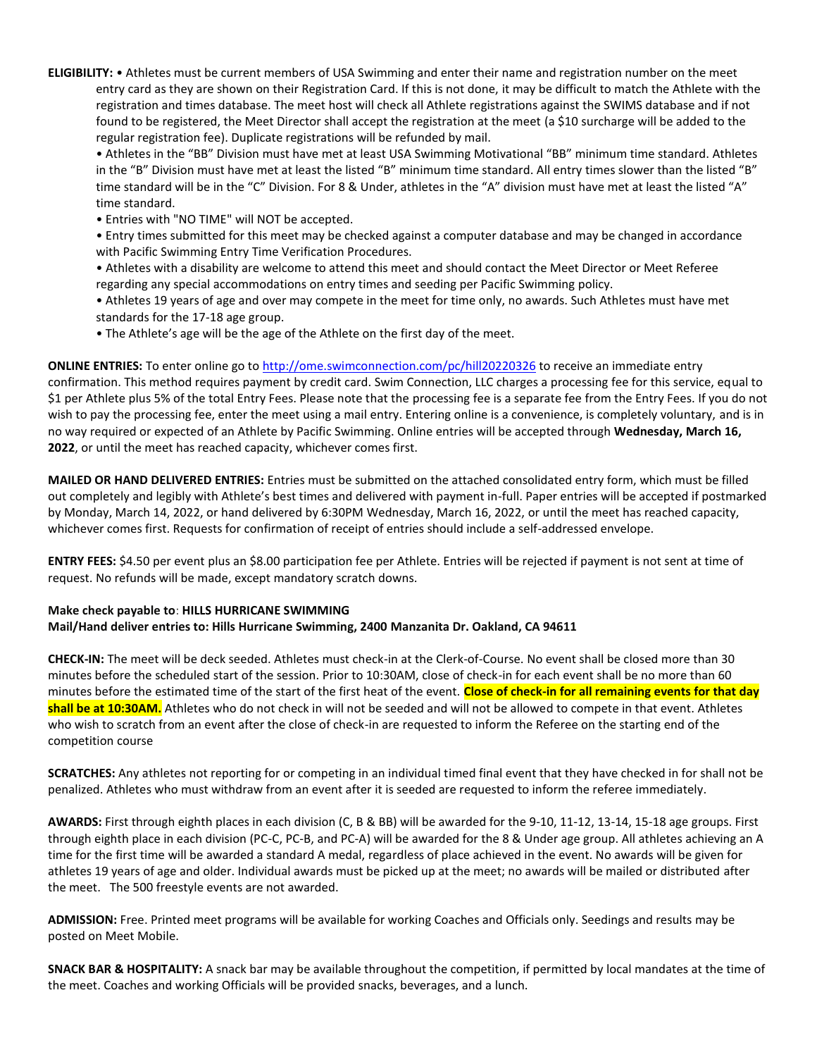**ELIGIBILITY:** • Athletes must be current members of USA Swimming and enter their name and registration number on the meet entry card as they are shown on their Registration Card. If this is not done, it may be difficult to match the Athlete with the registration and times database. The meet host will check all Athlete registrations against the SWIMS database and if not found to be registered, the Meet Director shall accept the registration at the meet (a \$10 surcharge will be added to the regular registration fee). Duplicate registrations will be refunded by mail.

• Athletes in the "BB" Division must have met at least USA Swimming Motivational "BB" minimum time standard. Athletes in the "B" Division must have met at least the listed "B" minimum time standard. All entry times slower than the listed "B" time standard will be in the "C" Division. For 8 & Under, athletes in the "A" division must have met at least the listed "A" time standard.

• Entries with "NO TIME" will NOT be accepted.

• Entry times submitted for this meet may be checked against a computer database and may be changed in accordance with Pacific Swimming Entry Time Verification Procedures.

• Athletes with a disability are welcome to attend this meet and should contact the Meet Director or Meet Referee regarding any special accommodations on entry times and seeding per Pacific Swimming policy.

- Athletes 19 years of age and over may compete in the meet for time only, no awards. Such Athletes must have met standards for the 17-18 age group.
- The Athlete's age will be the age of the Athlete on the first day of the meet.

**ONLINE ENTRIES:** To enter online go t[o http://ome.swimconnection.com/pc/hill20220326](http://ome.swimconnection.com/pc/hill20220326) to receive an immediate entry confirmation. This method requires payment by credit card. Swim Connection, LLC charges a processing fee for this service, equal to \$1 per Athlete plus 5% of the total Entry Fees. Please note that the processing fee is a separate fee from the Entry Fees. If you do not wish to pay the processing fee, enter the meet using a mail entry. Entering online is a convenience, is completely voluntary, and is in no way required or expected of an Athlete by Pacific Swimming. Online entries will be accepted through **Wednesday, March 16, 2022**, or until the meet has reached capacity, whichever comes first.

**MAILED OR HAND DELIVERED ENTRIES:** Entries must be submitted on the attached consolidated entry form, which must be filled out completely and legibly with Athlete's best times and delivered with payment in-full. Paper entries will be accepted if postmarked by Monday, March 14, 2022, or hand delivered by 6:30PM Wednesday, March 16, 2022, or until the meet has reached capacity, whichever comes first. Requests for confirmation of receipt of entries should include a self-addressed envelope.

**ENTRY FEES:** \$4.50 per event plus an \$8.00 participation fee per Athlete. Entries will be rejected if payment is not sent at time of request. No refunds will be made, except mandatory scratch downs.

## **Make check payable to**: **HILLS HURRICANE SWIMMING Mail/Hand deliver entries to: Hills Hurricane Swimming, 2400 Manzanita Dr. Oakland, CA 94611**

**CHECK-IN:** The meet will be deck seeded. Athletes must check-in at the Clerk-of-Course. No event shall be closed more than 30 minutes before the scheduled start of the session. Prior to 10:30AM, close of check-in for each event shall be no more than 60 minutes before the estimated time of the start of the first heat of the event. **Close of check-in for all remaining events for that day shall be at 10:30AM.** Athletes who do not check in will not be seeded and will not be allowed to compete in that event. Athletes who wish to scratch from an event after the close of check-in are requested to inform the Referee on the starting end of the competition course

**SCRATCHES:** Any athletes not reporting for or competing in an individual timed final event that they have checked in for shall not be penalized. Athletes who must withdraw from an event after it is seeded are requested to inform the referee immediately.

**AWARDS:** First through eighth places in each division (C, B & BB) will be awarded for the 9-10, 11-12, 13-14, 15-18 age groups. First through eighth place in each division (PC-C, PC-B, and PC-A) will be awarded for the 8 & Under age group. All athletes achieving an A time for the first time will be awarded a standard A medal, regardless of place achieved in the event. No awards will be given for athletes 19 years of age and older. Individual awards must be picked up at the meet; no awards will be mailed or distributed after the meet. The 500 freestyle events are not awarded.

**ADMISSION:** Free. Printed meet programs will be available for working Coaches and Officials only. Seedings and results may be posted on Meet Mobile.

**SNACK BAR & HOSPITALITY:** A snack bar may be available throughout the competition, if permitted by local mandates at the time of the meet. Coaches and working Officials will be provided snacks, beverages, and a lunch.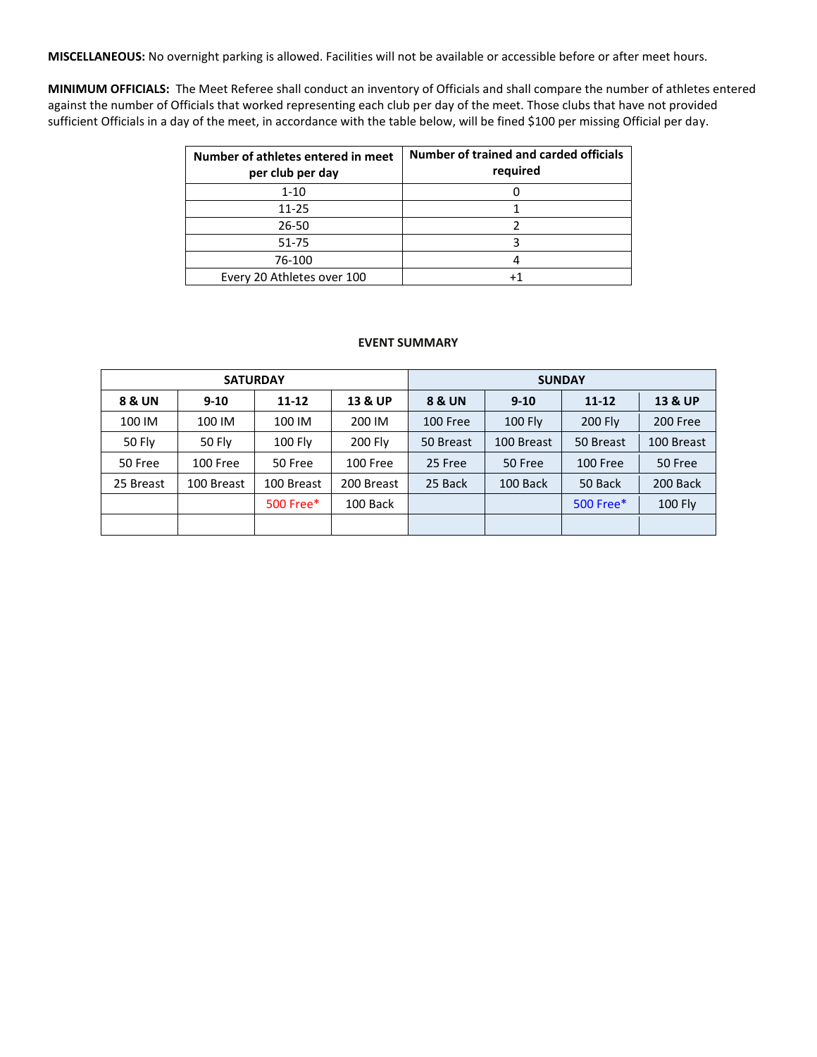**MISCELLANEOUS:** No overnight parking is allowed. Facilities will not be available or accessible before or after meet hours.

**MINIMUM OFFICIALS:** The Meet Referee shall conduct an inventory of Officials and shall compare the number of athletes entered against the number of Officials that worked representing each club per day of the meet. Those clubs that have not provided sufficient Officials in a day of the meet, in accordance with the table below, will be fined \$100 per missing Official per day.

| Number of athletes entered in meet<br>per club per day | Number of trained and carded officials<br>required |
|--------------------------------------------------------|----------------------------------------------------|
| $1 - 10$                                               |                                                    |
| $11 - 25$                                              |                                                    |
| 26-50                                                  |                                                    |
| $51 - 75$                                              |                                                    |
| 76-100                                                 |                                                    |
| Every 20 Athletes over 100                             |                                                    |

## **EVENT SUMMARY**

|               |               | <b>SATURDAY</b> |            | <b>SUNDAY</b> |                |           |            |  |  |
|---------------|---------------|-----------------|------------|---------------|----------------|-----------|------------|--|--|
| 8 & UN        | $9 - 10$      | $11 - 12$       | 13 & UP    | 8 & UN        | $9 - 10$       | $11 - 12$ | 13 & UP    |  |  |
| 100 IM        | 100 IM        | 100 IM          | 200 IM     | 100 Free      | <b>100 Fly</b> | 200 Fly   | 200 Free   |  |  |
| <b>50 Fly</b> | <b>50 Fly</b> | 100 Fly         | 200 Fly    | 50 Breast     | 100 Breast     | 50 Breast | 100 Breast |  |  |
| 50 Free       | 100 Free      | 50 Free         | 100 Free   | 25 Free       | 50 Free        | 100 Free  | 50 Free    |  |  |
| 25 Breast     | 100 Breast    | 100 Breast      | 200 Breast | 25 Back       | 100 Back       | 50 Back   | 200 Back   |  |  |
|               |               | 500 Free*       | 100 Back   |               |                | 500 Free* | 100 Fly    |  |  |
|               |               |                 |            |               |                |           |            |  |  |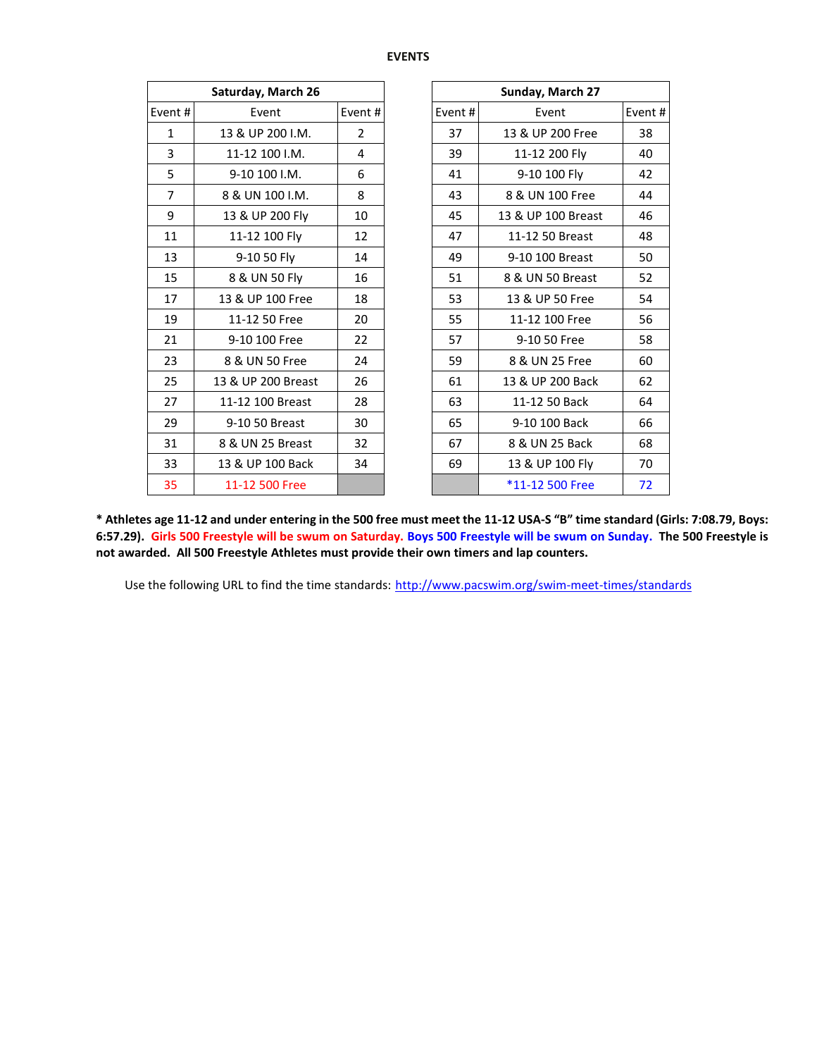## **EVENTS**

|              | Saturday, March 26 |                | Sunday, March 27 |                    |
|--------------|--------------------|----------------|------------------|--------------------|
| Event#       | Event              | Event#         | Event#           | Event              |
| $\mathbf{1}$ | 13 & UP 200 I.M.   | $\overline{2}$ | 37               | 13 & UP 200 Free   |
| 3            | 11-12 100 I.M.     | 4              | 39               | 11-12 200 Fly      |
| 5            | 9-10 100 I.M.      | 6              | 41               | 9-10 100 Fly       |
| 7            | 8 & UN 100 I.M.    | 8              | 43               | 8 & UN 100 Free    |
| 9            | 13 & UP 200 Fly    | 10             | 45               | 13 & UP 100 Breast |
| 11           | 11-12 100 Fly      | 12             | 47               | 11-12 50 Breast    |
| 13           | 9-10 50 Fly        | 14             | 49               | 9-10 100 Breast    |
| 15           | 8 & UN 50 Fly      | 16             | 51               | 8 & UN 50 Breast   |
| 17           | 13 & UP 100 Free   | 18             | 53               | 13 & UP 50 Free    |
| 19           | 11-12 50 Free      | 20             | 55               | 11-12 100 Free     |
| 21           | 9-10 100 Free      | 22             | 57               | 9-10 50 Free       |
| 23           | 8 & UN 50 Free     | 24             | 59               | 8 & UN 25 Free     |
| 25           | 13 & UP 200 Breast | 26             | 61               | 13 & UP 200 Back   |
| 27           | 11-12 100 Breast   | 28             | 63               | 11-12 50 Back      |
| 29           | 9-10 50 Breast     | 30             | 65               | 9-10 100 Back      |
| 31           | 8 & UN 25 Breast   | 32             | 67               | 8 & UN 25 Back     |
| 33           | 13 & UP 100 Back   | 34             | 69               | 13 & UP 100 Fly    |
| 35           | 11-12 500 Free     |                |                  | *11-12 500 Free    |

|                | Saturday, March 26 |                |        | Sunday, March 27   |        |
|----------------|--------------------|----------------|--------|--------------------|--------|
| Event#         | Event              | Event#         | Event# | Event              | Event# |
| $\mathbf{1}$   | 13 & UP 200 I.M.   | $\overline{2}$ | 37     | 13 & UP 200 Free   | 38     |
| 3              | 11-12 100 I.M.     | 4              | 39     | 11-12 200 Fly      | 40     |
| 5              | 9-10 100 I.M.      | 6              | 41     | 9-10 100 Fly       | 42     |
| $\overline{7}$ | 8 & UN 100 I.M.    | 8              | 43     | 8 & UN 100 Free    | 44     |
| 9              | 13 & UP 200 Fly    | 10             | 45     | 13 & UP 100 Breast | 46     |
| 11             | 11-12 100 Fly      | 12             | 47     | 11-12 50 Breast    | 48     |
| 13             | 9-10 50 Fly        | 14             | 49     | 9-10 100 Breast    | 50     |
| 15             | 8 & UN 50 Fly      | 16             | 51     | 8 & UN 50 Breast   | 52     |
| 17             | 13 & UP 100 Free   | 18             | 53     | 13 & UP 50 Free    | 54     |
| 19             | 11-12 50 Free      | 20             | 55     | 11-12 100 Free     | 56     |
| 21             | 9-10 100 Free      | 22             | 57     | 9-10 50 Free       | 58     |
| 23             | 8 & UN 50 Free     | 24             | 59     | 8 & UN 25 Free     | 60     |
| 25             | 13 & UP 200 Breast | 26             | 61     | 13 & UP 200 Back   | 62     |
| 27             | 11-12 100 Breast   | 28             | 63     | 11-12 50 Back      | 64     |
| 29             | 9-10 50 Breast     | 30             | 65     | 9-10 100 Back      | 66     |
| 31             | 8 & UN 25 Breast   | 32             | 67     | 8 & UN 25 Back     | 68     |
| 33             | 13 & UP 100 Back   | 34             | 69     | 13 & UP 100 Fly    | 70     |
| 35             | 11-12 500 Free     |                |        | *11-12 500 Free    | 72     |

**\* Athletes age 11-12 and under entering in the 500 free must meet the 11-12 USA-S "B" time standard (Girls: 7:08.79, Boys: 6:57.29). Girls 500 Freestyle will be swum on Saturday. Boys 500 Freestyle will be swum on Sunday. The 500 Freestyle is not awarded. All 500 Freestyle Athletes must provide their own timers and lap counters.**

Use the following URL to find the time standards: <http://www.pacswim.org/swim-meet-times/standards>